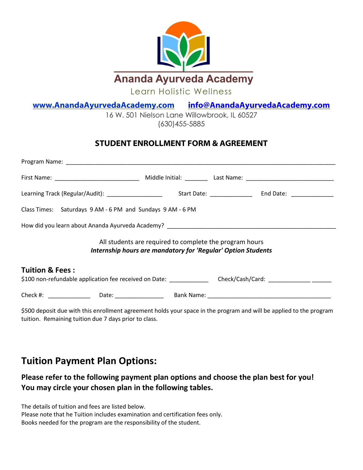

16 W. 501 Nielson Lane Willowbrook, IL 60527 [\(630\)455-5885](https://www.google.com/search?rlz=1C1SQJL_enUS785US785&ei=DsMdW8jfL4ja0gLk5b7QCA&q=soderworld&oq=soder+world&gs_l=psy-ab.1.0.0i10k1l10.122522.127470.0.129394.38.18.0.0.0.0.335.2572.0j5j3j3.12.0..2..0...1.1.64.psy-ab..27.11.2651.6..0j35i39k1j0i131k1j0i67k1j0i20i263k1j0i20i264k1j0i131i20i264k1j0i131i67k1j0i22i10i30k1j0i22i30k1.233.CIpQ1J2VhxY)

#### **STUDENT ENROLLMENT FORM & AGREEMENT**

| Learning Track (Regular/Audit): ____________________                                                                                       |                                                                                                                         |  |
|--------------------------------------------------------------------------------------------------------------------------------------------|-------------------------------------------------------------------------------------------------------------------------|--|
| Class Times: Saturdays 9 AM - 6 PM and Sundays 9 AM - 6 PM                                                                                 |                                                                                                                         |  |
|                                                                                                                                            |                                                                                                                         |  |
|                                                                                                                                            | All students are required to complete the program hours<br>Internship hours are mandatory for 'Regular' Option Students |  |
| <b>Tuition &amp; Fees:</b><br>\$100 non-refundable application fee received on Date: _______________ Check/Cash/Card: _____________ ______ |                                                                                                                         |  |
|                                                                                                                                            |                                                                                                                         |  |

\$500 deposit due with this enrollment agreement holds your space in the program and will be applied to the program tuition. Remaining tuition due 7 days prior to class.

### **Tuition Payment Plan Options:**

#### **Please refer to the following payment plan options and choose the plan best for you! You may circle your chosen plan in the following tables.**

The details of tuition and fees are listed below.

Please note that he Tuition includes examination and certification fees only.

Books needed for the program are the responsibility of the student.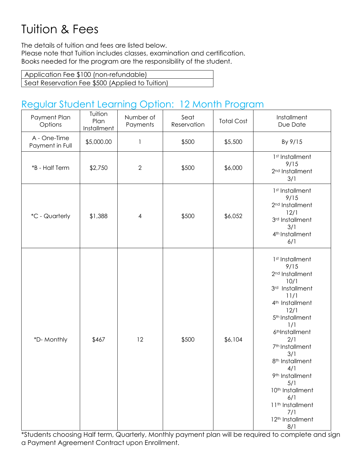# Tuition & Fees

The details of tuition and fees are listed below. Please note that Tuition includes classes, examination and certification. Books needed for the program are the responsibility of the student.

| Application Fee \$100 (non-refundable)          |  |
|-------------------------------------------------|--|
| Seat Reservation Fee \$500 (Applied to Tuition) |  |

## Regular Student Learning Option: 12 Month Program

| Payment Plan<br>Options         | Tuition<br>Plan<br>Installment | Number of<br>Payments | Seat<br>Reservation | <b>Total Cost</b> | Installment<br>Due Date                                                                                                                                                                                                                                                                                                                                                                                                                |
|---------------------------------|--------------------------------|-----------------------|---------------------|-------------------|----------------------------------------------------------------------------------------------------------------------------------------------------------------------------------------------------------------------------------------------------------------------------------------------------------------------------------------------------------------------------------------------------------------------------------------|
| A - One-Time<br>Payment in Full | \$5,000.00                     | 1                     | \$500               | \$5,500           | By 9/15                                                                                                                                                                                                                                                                                                                                                                                                                                |
| *B - Half Term                  | \$2,750                        | $\mathbf{2}$          | \$500               | \$6,000           | 1st Installment<br>9/15<br>2 <sup>nd</sup> Installment<br>3/1                                                                                                                                                                                                                                                                                                                                                                          |
| *C - Quarterly                  | \$1,388                        | $\overline{4}$        | \$500               | \$6,052           | 1st Installment<br>9/15<br>2 <sup>nd</sup> Installment<br>12/1<br>3rd Installment<br>3/1<br>4 <sup>th</sup> Installment<br>6/1                                                                                                                                                                                                                                                                                                         |
| *D- Monthly                     | \$467                          | 12                    | \$500               | \$6,104           | 1st Installment<br>9/15<br>2 <sup>nd</sup> Installment<br>10/1<br>3rd Installment<br>11/1<br>4 <sup>th</sup> Installment<br>12/1<br>5 <sup>th</sup> Installment<br>1/1<br>6thInstallment<br>2/1<br>7 <sup>th</sup> Installment<br>3/1<br>8 <sup>th</sup> Installment<br>4/1<br>9 <sup>th</sup> Installment<br>5/1<br>10 <sup>th</sup> Installment<br>6/1<br>11 <sup>th</sup> Installment<br>7/1<br>12 <sup>th</sup> Installment<br>8/1 |

\*Students choosing Half term, Quarterly, Monthly payment plan will be required to complete and sign a Payment Agreement Contract upon Enrollment.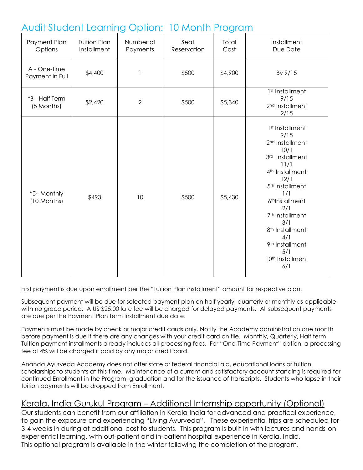## Audit Student Learning Option: 10 Month Program

| Payment Plan<br>Options         | <b>Tuition Plan</b><br>Installment | Number of<br>Payments | Seat<br>Reservation | Total<br>Cost | Installment<br>Due Date                                                                                                                                                                                                                                                                                                                      |
|---------------------------------|------------------------------------|-----------------------|---------------------|---------------|----------------------------------------------------------------------------------------------------------------------------------------------------------------------------------------------------------------------------------------------------------------------------------------------------------------------------------------------|
| A - One-time<br>Payment in Full | \$4,400                            | $\mathbf{1}$          | \$500               | \$4,900       | By 9/15                                                                                                                                                                                                                                                                                                                                      |
| *B - Half Term<br>(5 Months)    | \$2,420                            | $\overline{2}$        | \$500               | \$5,340       | 1 <sup>st</sup> Installment<br>9/15<br>2 <sup>nd</sup> Installment<br>2/15                                                                                                                                                                                                                                                                   |
| *D-Monthly<br>(10 Months)       | \$493                              | 10                    | \$500               | \$5,430       | 1st Installment<br>9/15<br>2 <sup>nd</sup> Installment<br>10/1<br>3rd Installment<br>11/1<br>4 <sup>th</sup> Installment<br>12/1<br>5 <sup>th</sup> Installment<br>1/1<br>6thInstallment<br>2/1<br>7 <sup>th</sup> Installment<br>3/1<br>8 <sup>th</sup> Installment<br>4/1<br>9 <sup>th</sup> Installment<br>5/1<br>10th Installment<br>6/1 |

First payment is due upon enrollment per the "Tuition Plan installment" amount for respective plan.

Subsequent payment will be due for selected payment plan on half yearly, quarterly or monthly as applicable with no grace period. A US \$25.00 late fee will be charged for delayed payments. All subsequent payments are due per the Payment Plan term Installment due date.

Payments must be made by check or major credit cards only. Notify the Academy administration one month before payment is due if there are any changes with your credit card on file. Monthly, Quarterly, Half term Tuition payment installments already includes all processing fees. For "One-Time Payment" option, a processing fee of 4% will be charged if paid by any major credit card.

Ananda Ayurveda Academy does not offer state or federal financial aid, educational loans or tuition scholarships to students at this time. Maintenance of a current and satisfactory account standing is required for continued Enrollment in the Program, graduation and for the issuance of transcripts. Students who lapse in their tuition payments will be dropped from Enrollment.

#### Kerala, India Gurukul Program – Additional Internship opportunity (Optional)

Our students can benefit from our affiliation in Kerala-India for advanced and practical experience, to gain the exposure and experiencing "Living Ayurveda". These experiential trips are scheduled for 3-4 weeks in during at additional cost to students. This program is built-in with lectures and hands-on experiential learning, with out-patient and in-patient hospital experience in Kerala, India. This optional program is available in the winter following the completion of the program.